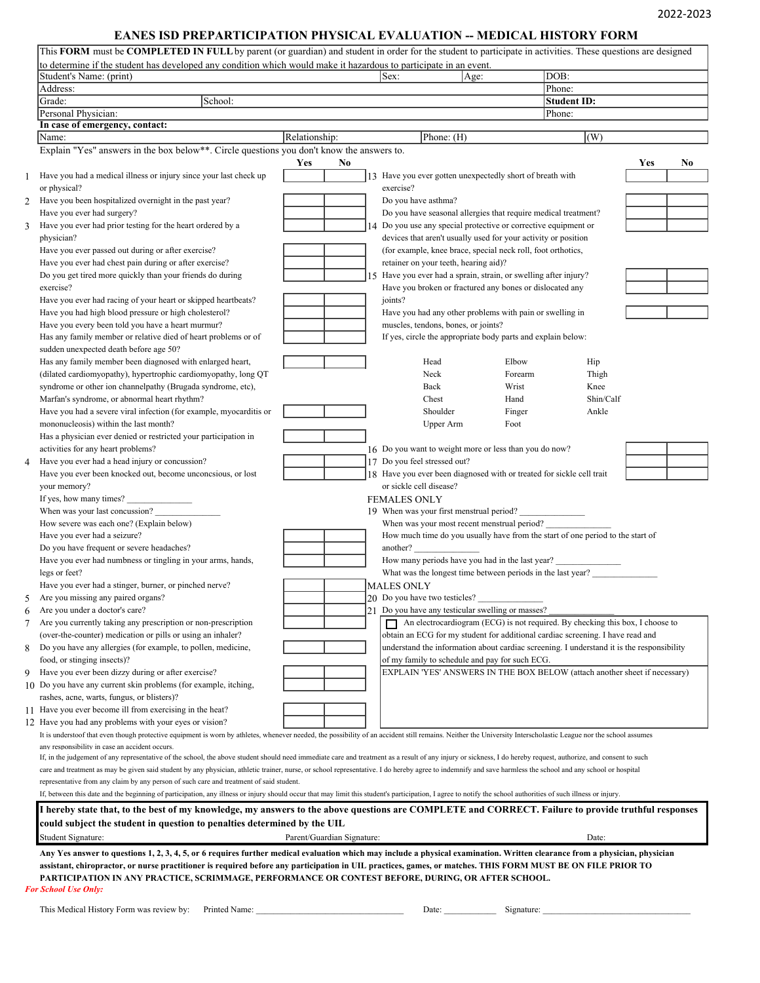## **EANES ISD PREPARTICIPATION PHYSICAL EVALUATION -- MEDICAL HISTORY FORM**

| to determine if the student has developed any condition which would make it hazardous to participate in an event.                                                                                                                                                 |                            |    |                                                                       |      |         |                                                                                           |           |
|-------------------------------------------------------------------------------------------------------------------------------------------------------------------------------------------------------------------------------------------------------------------|----------------------------|----|-----------------------------------------------------------------------|------|---------|-------------------------------------------------------------------------------------------|-----------|
| Student's Name: (print)                                                                                                                                                                                                                                           |                            |    | Sex:                                                                  | Age: |         | DOB:                                                                                      |           |
| Address:                                                                                                                                                                                                                                                          |                            |    |                                                                       |      |         | Phone:                                                                                    |           |
| School:<br>Grade:                                                                                                                                                                                                                                                 |                            |    |                                                                       |      |         | <b>Student ID:</b>                                                                        |           |
| Personal Physician:                                                                                                                                                                                                                                               |                            |    |                                                                       |      |         | Phone:                                                                                    |           |
| In case of emergency, contact:<br>Name:                                                                                                                                                                                                                           | Relationship:              |    | Phone: $(H)$                                                          |      |         | $\vert$ (W)                                                                               |           |
| Explain "Yes" answers in the box below**. Circle questions you don't know the answers to.                                                                                                                                                                         |                            |    |                                                                       |      |         |                                                                                           |           |
|                                                                                                                                                                                                                                                                   | Yes<br>No                  |    |                                                                       |      |         |                                                                                           | Yes<br>N0 |
| Have you had a medical illness or injury since your last check up                                                                                                                                                                                                 |                            |    | 13 Have you ever gotten unexpectedly short of breath with             |      |         |                                                                                           |           |
| or physical?                                                                                                                                                                                                                                                      |                            |    | exercise?                                                             |      |         |                                                                                           |           |
| Have you been hospitalized overnight in the past year?                                                                                                                                                                                                            |                            |    | Do you have asthma?                                                   |      |         |                                                                                           |           |
| Have you ever had surgery?                                                                                                                                                                                                                                        |                            |    | Do you have seasonal allergies that require medical treatment?        |      |         |                                                                                           |           |
| Have you ever had prior testing for the heart ordered by a                                                                                                                                                                                                        |                            |    | Do you use any special protective or corrective equipment or          |      |         |                                                                                           |           |
| physician?                                                                                                                                                                                                                                                        |                            |    | devices that aren't usually used for your activity or position        |      |         |                                                                                           |           |
| Have you ever passed out during or after exercise?                                                                                                                                                                                                                |                            |    | (for example, knee brace, special neck roll, foot orthotics,          |      |         |                                                                                           |           |
| Have you ever had chest pain during or after exercise?                                                                                                                                                                                                            |                            |    | retainer on your teeth, hearing aid)?                                 |      |         |                                                                                           |           |
| Do you get tired more quickly than your friends do during                                                                                                                                                                                                         |                            |    | 15 Have you ever had a sprain, strain, or swelling after injury?      |      |         |                                                                                           |           |
| exercise?                                                                                                                                                                                                                                                         |                            |    | Have you broken or fractured any bones or dislocated any              |      |         |                                                                                           |           |
| Have you ever had racing of your heart or skipped heartbeats?                                                                                                                                                                                                     |                            |    | joints?                                                               |      |         |                                                                                           |           |
| Have you had high blood pressure or high cholesterol?                                                                                                                                                                                                             |                            |    | Have you had any other problems with pain or swelling in              |      |         |                                                                                           |           |
| Have you every been told you have a heart murmur?                                                                                                                                                                                                                 |                            |    | muscles, tendons, bones, or joints?                                   |      |         |                                                                                           |           |
| Has any family member or relative died of heart problems or of                                                                                                                                                                                                    |                            |    | If yes, circle the appropriate body parts and explain below:          |      |         |                                                                                           |           |
| sudden unexpected death before age 50?                                                                                                                                                                                                                            |                            |    |                                                                       |      |         |                                                                                           |           |
| Has any family member been diagnosed with enlarged heart,                                                                                                                                                                                                         |                            |    | Head                                                                  |      | Elbow   | Hip                                                                                       |           |
| (dilated cardiomyopathy), hypertrophic cardiomyopathy, long QT                                                                                                                                                                                                    |                            |    | Neck                                                                  |      | Forearm | Thigh                                                                                     |           |
| syndrome or other ion channelpathy (Brugada syndrome, etc),                                                                                                                                                                                                       |                            |    | Back                                                                  |      | Wrist   | Knee                                                                                      |           |
| Marfan's syndrome, or abnormal heart rhythm?                                                                                                                                                                                                                      |                            |    | Chest                                                                 |      | Hand    | Shin/Calf                                                                                 |           |
| Have you had a severe viral infection (for example, myocarditis or                                                                                                                                                                                                |                            |    | Shoulder                                                              |      | Finger  | Ankle                                                                                     |           |
| mononucleosis) within the last month?                                                                                                                                                                                                                             |                            |    | Upper Arm                                                             |      | Foot    |                                                                                           |           |
| Has a physician ever denied or restricted your participation in                                                                                                                                                                                                   |                            |    |                                                                       |      |         |                                                                                           |           |
| activities for any heart problems?                                                                                                                                                                                                                                |                            |    | 16 Do you want to weight more or less than you do now?                |      |         |                                                                                           |           |
| Have you ever had a head injury or concussion?                                                                                                                                                                                                                    |                            |    | 17 Do you feel stressed out?                                          |      |         |                                                                                           |           |
| Have you ever been knocked out, become unconcsious, or lost                                                                                                                                                                                                       |                            |    | 18 Have you ever been diagnosed with or treated for sickle cell trait |      |         |                                                                                           |           |
| your memory?                                                                                                                                                                                                                                                      |                            |    | or sickle cell disease?                                               |      |         |                                                                                           |           |
| If yes, how many times?<br>When was your last concussion?                                                                                                                                                                                                         |                            |    | <b>FEMALES ONLY</b><br>19 When was your first menstrual period?       |      |         |                                                                                           |           |
| How severe was each one? (Explain below)                                                                                                                                                                                                                          |                            |    | When was your most recent menstrual period?                           |      |         |                                                                                           |           |
| Have you ever had a seizure?                                                                                                                                                                                                                                      |                            |    |                                                                       |      |         | How much time do you usually have from the start of one period to the start of            |           |
| Do you have frequent or severe headaches?                                                                                                                                                                                                                         |                            |    | another?                                                              |      |         |                                                                                           |           |
| Have you ever had numbness or tingling in your arms, hands,                                                                                                                                                                                                       |                            |    | How many periods have you had in the last year?                       |      |         |                                                                                           |           |
| legs or feet?                                                                                                                                                                                                                                                     |                            |    | What was the longest time between periods in the last year?           |      |         |                                                                                           |           |
| Have you ever had a stinger, burner, or pinched nerve?                                                                                                                                                                                                            |                            |    | <b>MALES ONLY</b>                                                     |      |         |                                                                                           |           |
| Are you missing any paired organs?                                                                                                                                                                                                                                |                            |    | 20 Do you have two testicles?                                         |      |         |                                                                                           |           |
| Are you under a doctor's care?                                                                                                                                                                                                                                    |                            | 21 | Do you have any testicular swelling or masses?                        |      |         |                                                                                           |           |
| Are you currently taking any prescription or non-prescription                                                                                                                                                                                                     |                            |    |                                                                       |      |         | An electrocardiogram (ECG) is not required. By checking this box, I choose to             |           |
| (over-the-counter) medication or pills or using an inhaler?                                                                                                                                                                                                       |                            |    |                                                                       |      |         | obtain an ECG for my student for additional cardiac screening. I have read and            |           |
| Do you have any allergies (for example, to pollen, medicine,                                                                                                                                                                                                      |                            |    |                                                                       |      |         | understand the information about cardiac screening. I understand it is the responsibility |           |
| food, or stinging insects)?                                                                                                                                                                                                                                       |                            |    | of my family to schedule and pay for such ECG.                        |      |         |                                                                                           |           |
| Have you ever been dizzy during or after exercise?                                                                                                                                                                                                                |                            |    |                                                                       |      |         | EXPLAIN 'YES' ANSWERS IN THE BOX BELOW (attach another sheet if necessary)                |           |
| 10 Do you have any current skin problems (for example, itching,                                                                                                                                                                                                   |                            |    |                                                                       |      |         |                                                                                           |           |
| rashes, acne, warts, fungus, or blisters)?                                                                                                                                                                                                                        |                            |    |                                                                       |      |         |                                                                                           |           |
| 11 Have you ever become ill from exercising in the heat?                                                                                                                                                                                                          |                            |    |                                                                       |      |         |                                                                                           |           |
| 12 Have you had any problems with your eyes or vision?                                                                                                                                                                                                            |                            |    |                                                                       |      |         |                                                                                           |           |
| It is understoof that even though protective equipment is worn by athletes, whenever needed, the possibility of an accident still remains. Neither the University Interscholastic League nor the school assumes                                                   |                            |    |                                                                       |      |         |                                                                                           |           |
| any responsibility in case an accident occurs.<br>If, in the judgement of any representative of the school, the above student should need immediate care and treatment as a result of any injury or sickness, I do hereby request, authorize, and consent to such |                            |    |                                                                       |      |         |                                                                                           |           |
| care and treatment as may be given said student by any physician, athletic trainer, nurse, or school representative. I do hereby agree to indemnify and save harmless the school and any school or hospital                                                       |                            |    |                                                                       |      |         |                                                                                           |           |
| representative from any claim by any person of such care and treatment of said student.                                                                                                                                                                           |                            |    |                                                                       |      |         |                                                                                           |           |
| If, between this date and the beginning of participation, any illness or injury should occur that may limit this student's participation, I agree to notify the school authorities of such illness or injury.                                                     |                            |    |                                                                       |      |         |                                                                                           |           |
|                                                                                                                                                                                                                                                                   |                            |    |                                                                       |      |         |                                                                                           |           |
| I hereby state that, to the best of my knowledge, my answers to the above questions are COMPLETE and CORRECT. Failure to provide truthful responses                                                                                                               |                            |    |                                                                       |      |         |                                                                                           |           |
| could subject the student in question to penalties determined by the UIL                                                                                                                                                                                          |                            |    |                                                                       |      |         |                                                                                           |           |
|                                                                                                                                                                                                                                                                   | Parent/Guardian Signature: |    |                                                                       |      |         | Date:                                                                                     |           |
| Student Signature:                                                                                                                                                                                                                                                |                            |    |                                                                       |      |         |                                                                                           |           |
| Any Yes answer to questions 1, 2, 3, 4, 5, or 6 requires further medical evaluation which may include a physical examination. Written clearance from a physician, physician                                                                                       |                            |    |                                                                       |      |         |                                                                                           |           |
| assistant, chiropractor, or nurse practitioner is required before any participation in UIL practices, games, or matches. THIS FORM MUST BE ON FILE PRIOR TO                                                                                                       |                            |    |                                                                       |      |         |                                                                                           |           |
| PARTICIPATION IN ANY PRACTICE, SCRIMMAGE, PERFORMANCE OR CONTEST BEFORE, DURING, OR AFTER SCHOOL.<br><b>For School Use Only:</b>                                                                                                                                  |                            |    |                                                                       |      |         |                                                                                           |           |